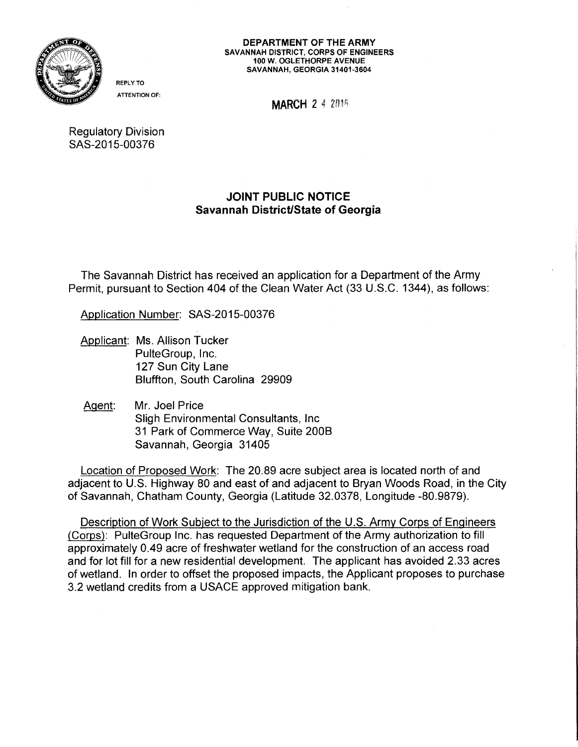

ATTENTION OF:

REPLY TO

**MARCH 2 4 2014** 

Regulatory Division SAS-2015-00376

## JOINT PUBLIC NOTICE Savannah District/State of Georgia

The Savannah District has received an application for a Department of the Army Permit, pursuant to Section 404 of the Clean Water Act (33 U.S.C. 1344), as follows:

Application Number: SAS-2015-00376

- Applicant: Ms. Allison Tucker PulteGroup, Inc. 127 Sun City Lane Bluffton, South Carolina 29909
- Agent: Mr. Joel Price Sligh Environmental Consultants, Inc 31 Park of Commerce Way, Suite 200B Savannah, Georgia 31405

Location of Proposed Work: The 20.89 acre subject area is located north of and adjacent to U.S. Highway 80 and east of and adjacent to Bryan Woods Road, in the City of Savannah, Chatham County, Georgia (Latitude 32.0378, Longitude -80.9879).

Description of Work Subject to the Jurisdiction of the U.S. Army Corps of Engineers (Corps): PulteGroup Inc. has requested Department of the Army authorization to fill approximately 0.49 acre of freshwater wetland for the construction of an access road and for lot fill for a new residential development. The applicant has avoided 2.33 acres of wetland. In order to offset the proposed impacts, the Applicant proposes to purchase 3.2 wetland credits from a USAGE approved mitigation bank.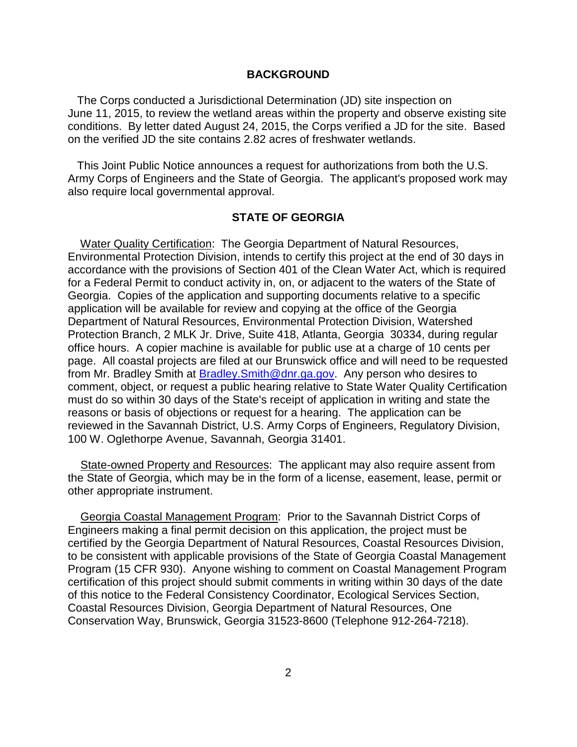## **BACKGROUND**

 conditions. By letter dated August 24, 2015, the Corps verified a JD for the site. Based on the verified JD the site contains 2.82 acres of freshwater wetlands. The Corps conducted a Jurisdictional Determination (JD) site inspection on June 11, 2015, to review the wetland areas within the property and observe existing site

 Army Corps of Engineers and the State of Georgia. The applicant's proposed work may This Joint Public Notice announces a request for authorizations from both the U.S. also require local governmental approval.

## **STATE OF GEORGIA**

 accordance with the provisions of Section 401 of the Clean Water Act, which is required for a Federal Permit to conduct activity in, on, or adjacent to the waters of the State of office hours. A copier machine is available for public use at a charge of 10 cents per reasons or basis of objections or request for a hearing. The application can be Water Quality Certification: The Georgia Department of Natural Resources, Environmental Protection Division, intends to certify this project at the end of 30 days in Georgia. Copies of the application and supporting documents relative to a specific application will be available for review and copying at the office of the Georgia Department of Natural Resources, Environmental Protection Division, Watershed Protection Branch, 2 MLK Jr. Drive, Suite 418, Atlanta, Georgia 30334, during regular page. All coastal projects are filed at our Brunswick office and will need to be requested from Mr. Bradley Smith at **Bradley. Smith@dnr.ga.gov.** Any person who desires to comment, object, or request a public hearing relative to State Water Quality Certification must do so within 30 days of the State's receipt of application in writing and state the reviewed in the Savannah District, U.S. Army Corps of Engineers, Regulatory Division, 100 W. Oglethorpe Avenue, Savannah, Georgia 31401.

State-owned Property and Resources: The applicant may also require assent from the State of Georgia, which may be in the form of a license, easement, lease, permit or other appropriate instrument.

Georgia Coastal Management Program: Prior to the Savannah District Corps of Engineers making a final permit decision on this application, the project must be certified by the Georgia Department of Natural Resources, Coastal Resources Division, to be consistent with applicable provisions of the State of Georgia Coastal Management Program (15 CFR 930). Anyone wishing to comment on Coastal Management Program certification of this project should submit comments in writing within 30 days of the date of this notice to the Federal Consistency Coordinator, Ecological Services Section, Coastal Resources Division, Georgia Department of Natural Resources, One Conservation Way, Brunswick, Georgia 31523-8600 (Telephone 912-264-7218).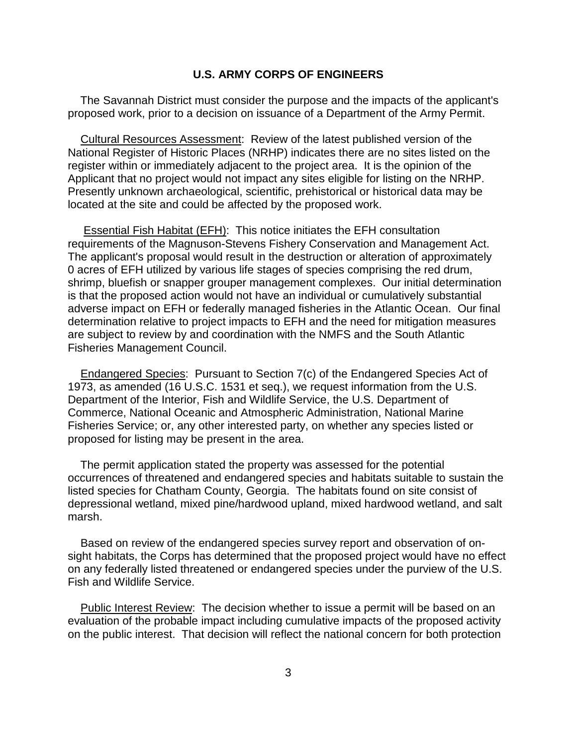## **U.S. ARMY CORPS OF ENGINEERS**

The Savannah District must consider the purpose and the impacts of the applicant's proposed work, prior to a decision on issuance of a Department of the Army Permit.

 National Register of Historic Places (NRHP) indicates there are no sites listed on the Applicant that no project would not impact any sites eligible for listing on the NRHP. Cultural Resources Assessment: Review of the latest published version of the register within or immediately adjacent to the project area. It is the opinion of the Presently unknown archaeological, scientific, prehistorical or historical data may be located at the site and could be affected by the proposed work.

 requirements of the Magnuson-Stevens Fishery Conservation and Management Act. 0 acres of EFH utilized by various life stages of species comprising the red drum, shrimp, bluefish or snapper grouper management complexes. Our initial determination adverse impact on EFH or federally managed fisheries in the Atlantic Ocean. Our final Essential Fish Habitat (EFH): This notice initiates the EFH consultation The applicant's proposal would result in the destruction or alteration of approximately is that the proposed action would not have an individual or cumulatively substantial determination relative to project impacts to EFH and the need for mitigation measures are subject to review by and coordination with the NMFS and the South Atlantic Fisheries Management Council.

 1973, as amended (16 U.S.C. 1531 et seq.), we request information from the U.S. Department of the Interior, Fish and Wildlife Service, the U.S. Department of Endangered Species: Pursuant to Section 7(c) of the Endangered Species Act of Commerce, National Oceanic and Atmospheric Administration, National Marine Fisheries Service; or, any other interested party, on whether any species listed or proposed for listing may be present in the area.

 listed species for Chatham County, Georgia. The habitats found on site consist of depressional wetland, mixed pine/hardwood upland, mixed hardwood wetland, and salt The permit application stated the property was assessed for the potential occurrences of threatened and endangered species and habitats suitable to sustain the marsh.

Based on review of the endangered species survey report and observation of onsight habitats, the Corps has determined that the proposed project would have no effect on any federally listed threatened or endangered species under the purview of the U.S. Fish and Wildlife Service.

 evaluation of the probable impact including cumulative impacts of the proposed activity on the public interest. That decision will reflect the national concern for both protection Public Interest Review: The decision whether to issue a permit will be based on an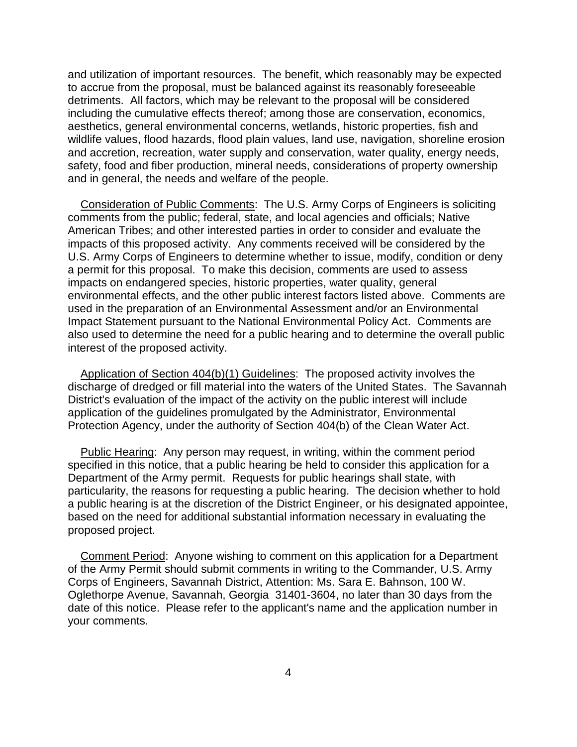and utilization of important resources. The benefit, which reasonably may be expected aesthetics, general environmental concerns, wetlands, historic properties, fish and safety, food and fiber production, mineral needs, considerations of property ownership to accrue from the proposal, must be balanced against its reasonably foreseeable detriments. All factors, which may be relevant to the proposal will be considered including the cumulative effects thereof; among those are conservation, economics, wildlife values, flood hazards, flood plain values, land use, navigation, shoreline erosion and accretion, recreation, water supply and conservation, water quality, energy needs, and in general, the needs and welfare of the people.

 a permit for this proposal. To make this decision, comments are used to assess Consideration of Public Comments: The U.S. Army Corps of Engineers is soliciting comments from the public; federal, state, and local agencies and officials; Native American Tribes; and other interested parties in order to consider and evaluate the impacts of this proposed activity. Any comments received will be considered by the U.S. Army Corps of Engineers to determine whether to issue, modify, condition or deny impacts on endangered species, historic properties, water quality, general environmental effects, and the other public interest factors listed above. Comments are used in the preparation of an Environmental Assessment and/or an Environmental Impact Statement pursuant to the National Environmental Policy Act. Comments are also used to determine the need for a public hearing and to determine the overall public interest of the proposed activity.

 discharge of dredged or fill material into the waters of the United States. The Savannah Application of Section 404(b)(1) Guidelines: The proposed activity involves the District's evaluation of the impact of the activity on the public interest will include application of the guidelines promulgated by the Administrator, Environmental Protection Agency, under the authority of Section 404(b) of the Clean Water Act.

 Department of the Army permit. Requests for public hearings shall state, with particularity, the reasons for requesting a public hearing. The decision whether to hold based on the need for additional substantial information necessary in evaluating the Public Hearing: Any person may request, in writing, within the comment period specified in this notice, that a public hearing be held to consider this application for a a public hearing is at the discretion of the District Engineer, or his designated appointee, proposed project.

 of the Army Permit should submit comments in writing to the Commander, U.S. Army Corps of Engineers, Savannah District, Attention: Ms. Sara E. Bahnson, 100 W. Oglethorpe Avenue, Savannah, Georgia 31401-3604, no later than 30 days from the Comment Period: Anyone wishing to comment on this application for a Department date of this notice. Please refer to the applicant's name and the application number in your comments.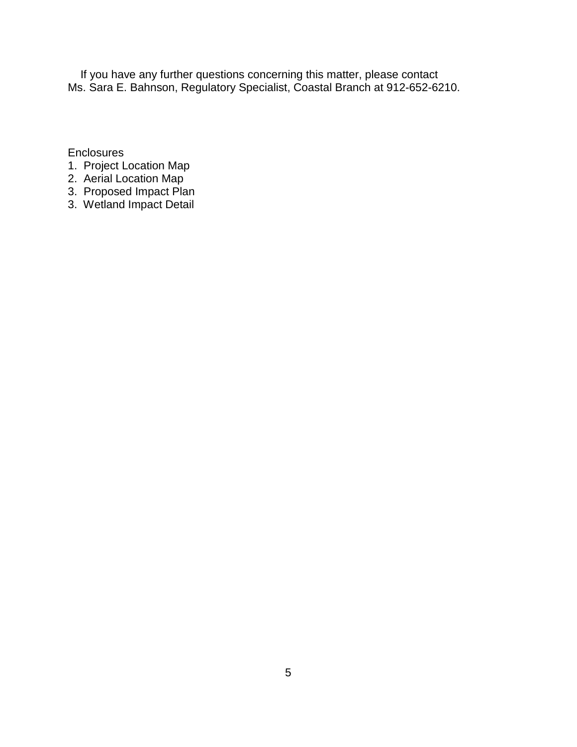If you have any further questions concerning this matter, please contact Ms. Sara E. Bahnson, Regulatory Specialist, Coastal Branch at 912-652-6210.

**Enclosures** 

- 1. Project Location Map
- 2. Aerial Location Map
- 3. Proposed Impact Plan
- 3. Wetland Impact Detail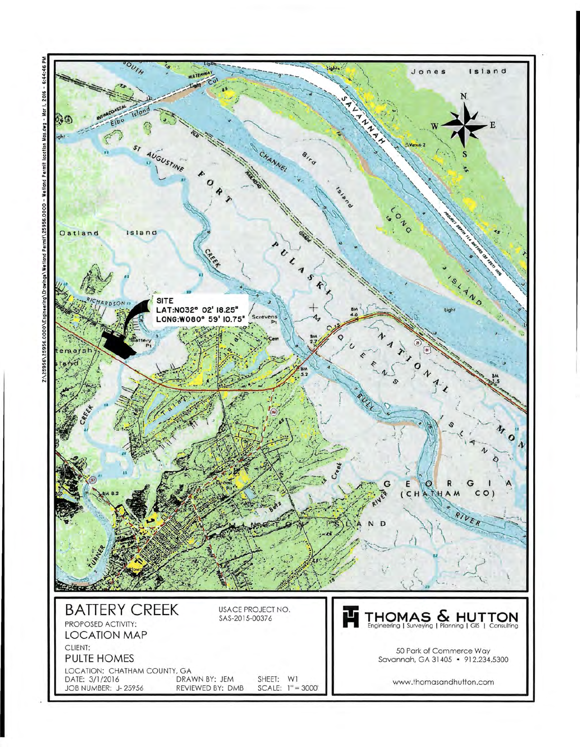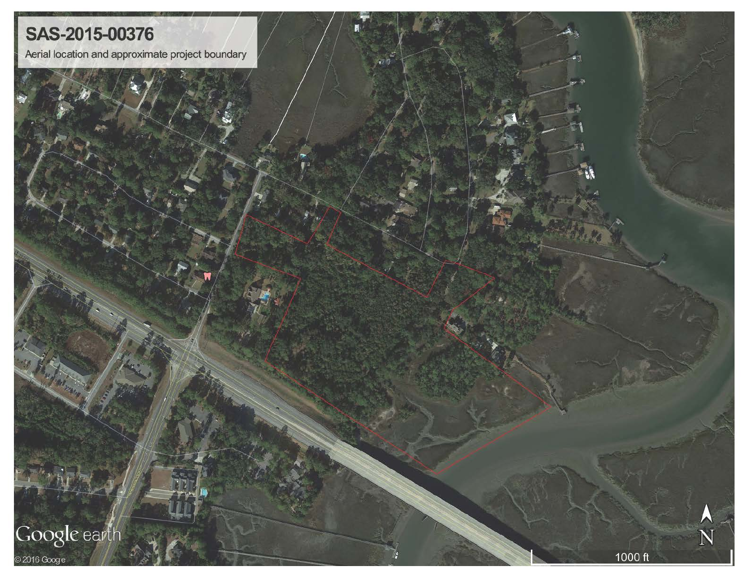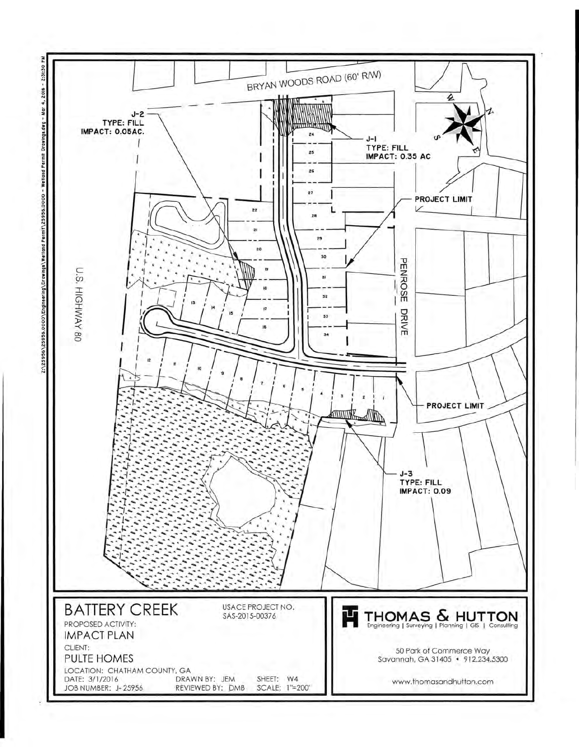